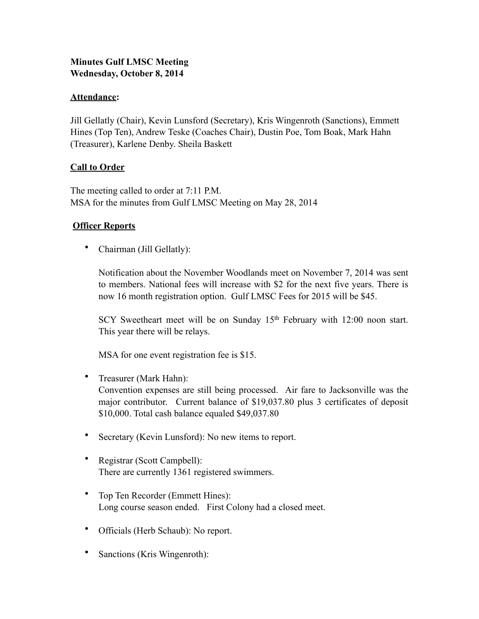## **Minutes Gulf LMSC Meeting Wednesday, October 8, 2014**

### **Attendance:**

Jill Gellatly (Chair), Kevin Lunsford (Secretary), Kris Wingenroth (Sanctions), Emmett Hines (Top Ten), Andrew Teske (Coaches Chair), Dustin Poe, Tom Boak, Mark Hahn (Treasurer), Karlene Denby. Sheila Baskett

### **Call to Order**

The meeting called to order at 7:11 P.M. MSA for the minutes from Gulf LMSC Meeting on May 28, 2014

### **Officer Reports**

• Chairman (Jill Gellatly):

Notification about the November Woodlands meet on November 7, 2014 was sent to members. National fees will increase with \$2 for the next five years. There is now 16 month registration option. Gulf LMSC Fees for 2015 will be \$45.

SCY Sweetheart meet will be on Sunday 15<sup>th</sup> February with 12:00 noon start. This year there will be relays.

MSA for one event registration fee is \$15.

- Treasurer (Mark Hahn): Convention expenses are still being processed. Air fare to Jacksonville was the major contributor. Current balance of \$19,037.80 plus 3 certificates of deposit \$10,000. Total cash balance equaled \$49,037.80
- Secretary (Kevin Lunsford): No new items to report.
- Registrar (Scott Campbell): There are currently 1361 registered swimmers.
- Top Ten Recorder (Emmett Hines): Long course season ended. First Colony had a closed meet.
- Officials (Herb Schaub): No report.
- Sanctions (Kris Wingenroth):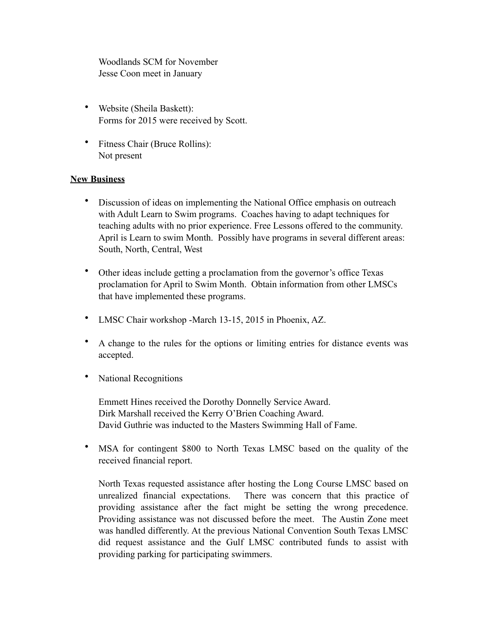Woodlands SCM for November Jesse Coon meet in January

- Website (Sheila Baskett): Forms for 2015 were received by Scott.
- Fitness Chair (Bruce Rollins): Not present

### **New Business**

- Discussion of ideas on implementing the National Office emphasis on outreach with Adult Learn to Swim programs. Coaches having to adapt techniques for teaching adults with no prior experience. Free Lessons offered to the community. April is Learn to swim Month. Possibly have programs in several different areas: South, North, Central, West
- Other ideas include getting a proclamation from the governor's office Texas proclamation for April to Swim Month. Obtain information from other LMSCs that have implemented these programs.
- LMSC Chair workshop -March 13-15, 2015 in Phoenix, AZ.
- A change to the rules for the options or limiting entries for distance events was accepted.
- National Recognitions

Emmett Hines received the Dorothy Donnelly Service Award. Dirk Marshall received the Kerry O'Brien Coaching Award. David Guthrie was inducted to the Masters Swimming Hall of Fame.

• MSA for contingent \$800 to North Texas LMSC based on the quality of the received financial report.

North Texas requested assistance after hosting the Long Course LMSC based on unrealized financial expectations. There was concern that this practice of providing assistance after the fact might be setting the wrong precedence. Providing assistance was not discussed before the meet. The Austin Zone meet was handled differently. At the previous National Convention South Texas LMSC did request assistance and the Gulf LMSC contributed funds to assist with providing parking for participating swimmers.